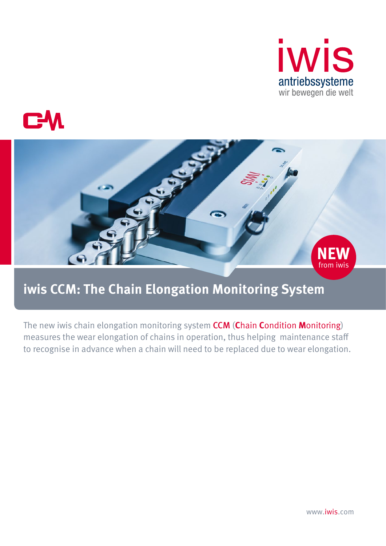





# **iwis CCM: The Chain Elongation Monitoring System**

The new iwis chain elongation monitoring system CCM (**C**hain **C**ondition **M**onitoring) measures the wear elongation of chains in operation, thus helping maintenance staff to recognise in advance when a chain will need to be replaced due to wear elongation.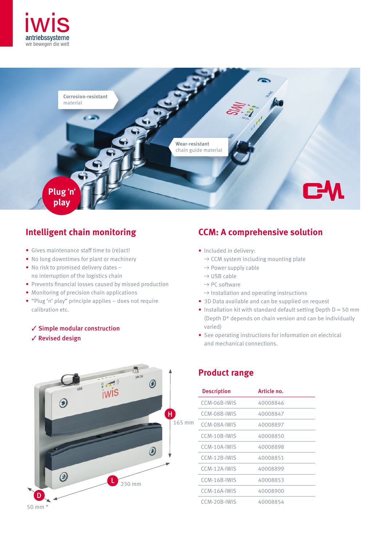



### **Intelligent chain monitoring**

- Gives maintenance staff time to (re)act!
- No long downtimes for plant or machinery
- No risk to promised delivery dates no interruption of the logistics chain
- Prevents financial losses caused by missed production
- Monitoring of precision chain applications
- "Plug 'n' play" principle applies does not require calibration etc.
	- ✓ Simple modular construction
	- ✓ Revised design



#### **CCM: A comprehensive solution**

- Included in delivery:
	- $\rightarrow$  CCM system including mounting plate
	- $\rightarrow$  Power supply cable
	- $\rightarrow$  USB cable
	- $\rightarrow$  PC software
	- $\rightarrow$  Installation and operating instructions
- 3D Data available and can be supplied on request
- Installation kit with standard default setting Depth  $D = 50$  mm (Depth D\* depends on chain version and can be individually varied)
- See operating instructions for information on electrical and mechanical connections.

#### **Product range**

| <b>Description</b> | Article no. |
|--------------------|-------------|
| CCM-06B-IWIS       | 40008846    |
| CCM-08B-IWIS       | 40008847    |
| CCM-08A-IWIS       | 40008897    |
| CCM-10B-IWIS       | 40008850    |
| CCM-10A-IWIS       | 40008898    |
| CCM-12B-IWIS       | 40008851    |
| CCM-12A-IWIS       | 40008899    |
| CCM-16B-IWIS       | 40008853    |
| CCM-16A-IWIS       | 40008900    |
| CCM-20B-IWIS       | 40008854    |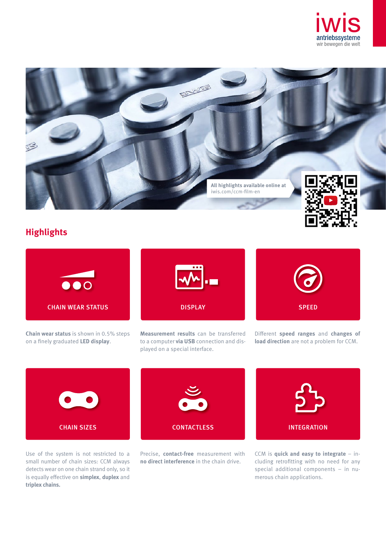



### **Highlights**



**Chain wear status** is shown in 0.5% steps on a finely graduated **LED display**.



Different **speed ranges** and **changes of load direction** are not a problem for CCM.



Use of the system is not restricted to a small number of chain sizes: CCM always detects wear on one chain strand only, so it is equally effective on **simplex**, **duplex** and **triplex chains.**

Precise, **contact-free** measurement with **no direct interference** in the chain drive.

CCM is **quick and easy to integrate** – including retrofitting with no need for any special additional components – in numerous chain applications.